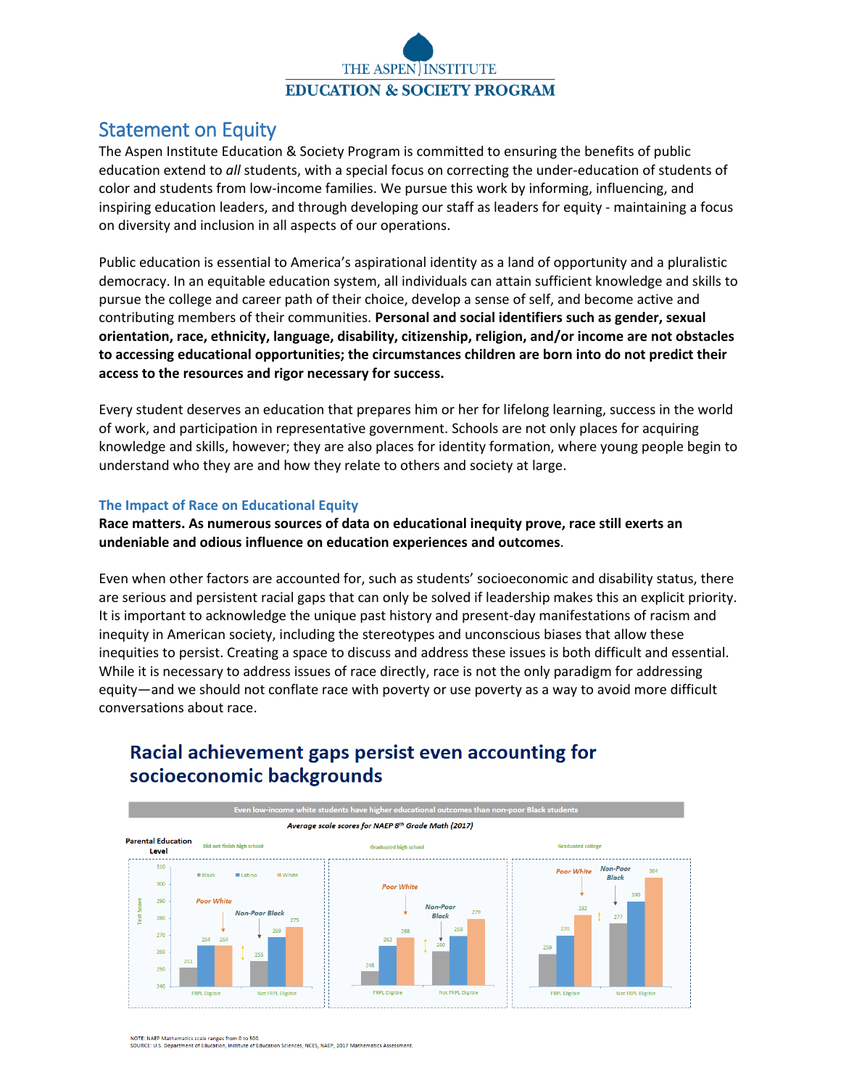

# Statement on Equity

The Aspen Institute Education & Society Program is committed to ensuring the benefits of public education extend to *all* students, with a special focus on correcting the under-education of students of color and students from low-income families. We pursue this work by informing, influencing, and inspiring education leaders, and through developing our staff as leaders for equity - maintaining a focus on diversity and inclusion in all aspects of our operations.

Public education is essential to America's aspirational identity as a land of opportunity and a pluralistic democracy. In an equitable education system, all individuals can attain sufficient knowledge and skills to pursue the college and career path of their choice, develop a sense of self, and become active and contributing members of their communities. **Personal and social identifiers such as gender, sexual orientation, race, ethnicity, language, disability, citizenship, religion, and/or income are not obstacles to accessing educational opportunities; the circumstances children are born into do not predict their access to the resources and rigor necessary for success.** 

Every student deserves an education that prepares him or her for lifelong learning, success in the world of work, and participation in representative government. Schools are not only places for acquiring knowledge and skills, however; they are also places for identity formation, where young people begin to understand who they are and how they relate to others and society at large.

### **The Impact of Race on Educational Equity**

**Race matters. As numerous sources of data on educational inequity prove, race still exerts an undeniable and odious influence on education experiences and outcomes**.

Even when other factors are accounted for, such as students' socioeconomic and disability status, there are serious and persistent racial gaps that can only be solved if leadership makes this an explicit priority. It is important to acknowledge the unique past history and present-day manifestations of racism and inequity in American society, including the stereotypes and unconscious biases that allow these inequities to persist. Creating a space to discuss and address these issues is both difficult and essential. While it is necessary to address issues of race directly, race is not the only paradigm for addressing equity—and we should not conflate race with poverty or use poverty as a way to avoid more difficult conversations about race.



# Racial achievement gaps persist even accounting for socioeconomic backgrounds

NOTE: NAEP Mathematics scale ranges from 0 to 500.

SOURCE: U.S. Department of Education, Institute of Education Sciences, NCES, NAEP, 2017 Mathematics Assessment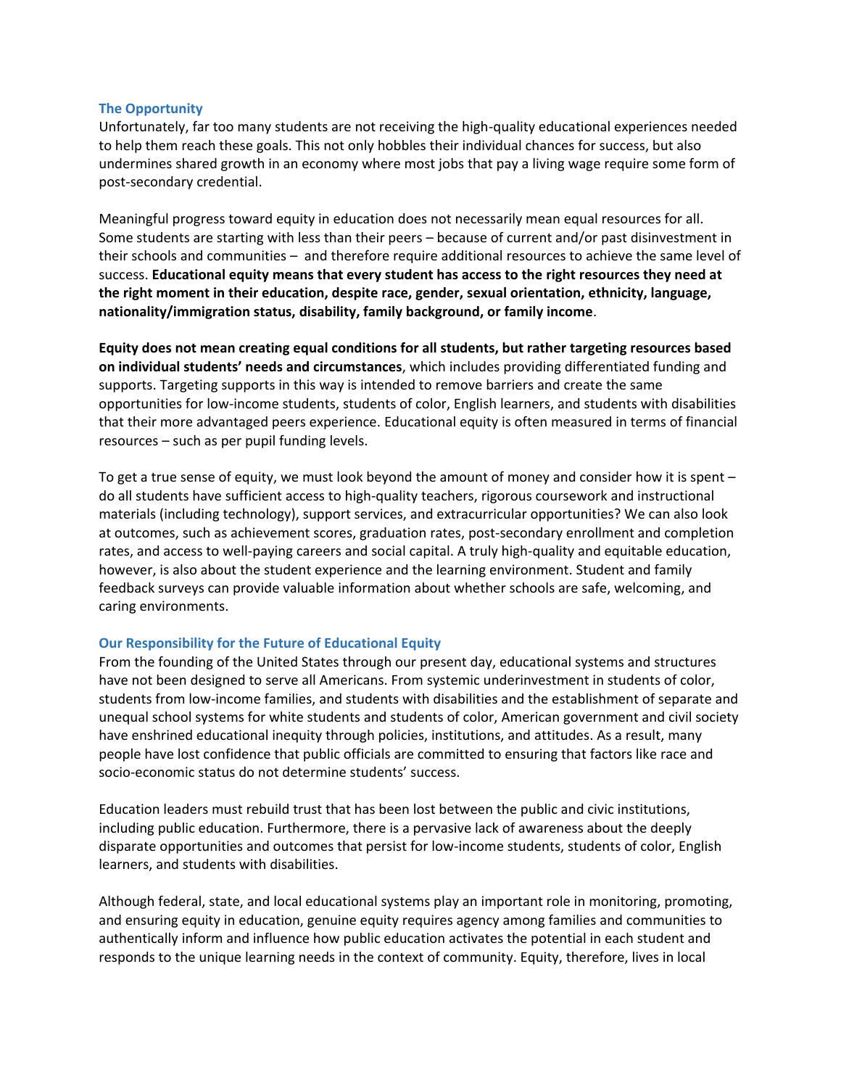#### **The Opportunity**

Unfortunately, far too many students are not receiving the high-quality educational experiences needed to help them reach these goals. This not only hobbles their individual chances for success, but also undermines shared growth in an economy where most jobs that pay a living wage require some form of post-secondary credential.

Meaningful progress toward equity in education does not necessarily mean equal resources for all. Some students are starting with less than their peers – because of current and/or past disinvestment in their schools and communities – and therefore require additional resources to achieve the same level of success. **Educational equity means that every student has access to the right resources they need at the right moment in their education, despite race, gender, sexual orientation, ethnicity, language, nationality/immigration status, disability, family background, or family income**.

**Equity does not mean creating equal conditions for all students, but rather targeting resources based on individual students' needs and circumstances**, which includes providing differentiated funding and supports. Targeting supports in this way is intended to remove barriers and create the same opportunities for low-income students, students of color, English learners, and students with disabilities that their more advantaged peers experience. Educational equity is often measured in terms of financial resources – such as per pupil funding levels.

To get a true sense of equity, we must look beyond the amount of money and consider how it is spent – do all students have sufficient access to high-quality teachers, rigorous coursework and instructional materials (including technology), support services, and extracurricular opportunities? We can also look at outcomes, such as achievement scores, graduation rates, post-secondary enrollment and completion rates, and access to well-paying careers and social capital. A truly high-quality and equitable education, however, is also about the student experience and the learning environment. Student and family feedback surveys can provide valuable information about whether schools are safe, welcoming, and caring environments.

### **Our Responsibility for the Future of Educational Equity**

From the founding of the United States through our present day, educational systems and structures have not been designed to serve all Americans. From systemic underinvestment in students of color, students from low-income families, and students with disabilities and the establishment of separate and unequal school systems for white students and students of color, American government and civil society have enshrined educational inequity through policies, institutions, and attitudes. As a result, many people have lost confidence that public officials are committed to ensuring that factors like race and socio-economic status do not determine students' success.

Education leaders must rebuild trust that has been lost between the public and civic institutions, including public education. Furthermore, there is a pervasive lack of awareness about the deeply disparate opportunities and outcomes that persist for low-income students, students of color, English learners, and students with disabilities.

Although federal, state, and local educational systems play an important role in monitoring, promoting, and ensuring equity in education, genuine equity requires agency among families and communities to authentically inform and influence how public education activates the potential in each student and responds to the unique learning needs in the context of community. Equity, therefore, lives in local